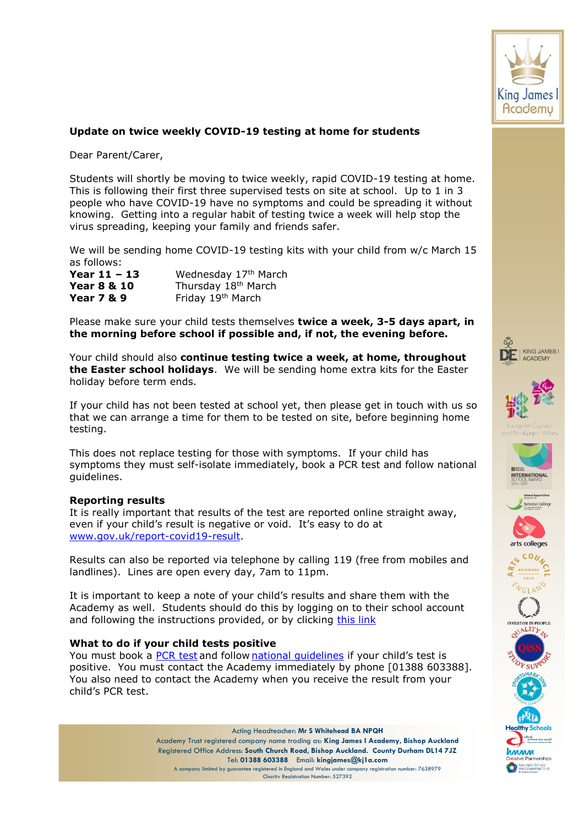

## **Update on twice weekly COVID-19 testing at home for students**

Dear Parent/Carer,

Students will shortly be moving to twice weekly, rapid COVID-19 testing at home. This is following their first three supervised tests on site at school. Up to 1 in 3 people who have COVID-19 have no symptoms and could be spreading it without knowing. Getting into a regular habit of testing twice a week will help stop the virus spreading, keeping your family and friends safer.

We will be sending home COVID-19 testing kits with your child from w/c March 15 as follows:

| Year $11 - 13$         | Wednesday 17 <sup>th</sup> March |
|------------------------|----------------------------------|
| <b>Year 8 &amp; 10</b> | Thursday 18 <sup>th</sup> March  |
| <b>Year 7 &amp; 9</b>  | Friday 19 <sup>th</sup> March    |

Please make sure your child tests themselves **twice a week, 3-5 days apart, in the morning before school if possible and, if not, the evening before.**

Your child should also **continue testing twice a week, at home, throughout the Easter school holidays**. We will be sending home extra kits for the Easter holiday before term ends.

If your child has not been tested at school yet, then please get in touch with us so that we can arrange a time for them to be tested on site, before beginning home testing.

This does not replace testing for those with symptoms. If your child has symptoms they must self-isolate immediately, book a PCR test and follow national guidelines.

## **Reporting results**

It is really important that results of the test are reported online straight away, even if your child's result is negative or void. It's easy to do at [www.gov.uk/report-covid19-result.](http://www.gov.uk/report-covid19-result)

Results can also be reported via telephone by calling 119 (free from mobiles and landlines). Lines are open every day, 7am to 11pm.

It is important to keep a note of your child's results and share them with the Academy as well. Students should do this by logging on to their school account and following the instructions provided, or by clicking [this link](https://forms.gle/FGRwqZjyNi29cKhc6)

## **What to do if your child tests positive**

You must book a [PCR test](https://www.gov.uk/get-coronavirus-test%22%20/t%20%22_blank) and follow national quidelines if your child's test is positive. You must contact the Academy immediately by phone [01388 603388]. You also need to contact the Academy when you receive the result from your child's PCR test.

> Acting Headteacher: **Mr S Whitehead BA NPQH** Academy Trust registered company name trading as: **King James I Academy, Bishop Auckland** Registered Office Address: **South Church Road, Bishop Auckland. County Durham DL14 7JZ** Tel: **01388 603388** Email: **kingjames@kj1a.com**

A company limited by guarantee registered in England and Wales under company registration number: 7638979 Charity Registration Number: 527392